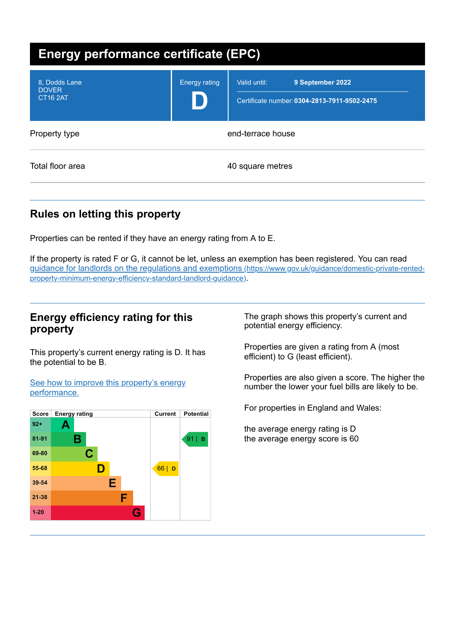| Energy performance certificate (EPC)             |                      |                                                                                  |  |
|--------------------------------------------------|----------------------|----------------------------------------------------------------------------------|--|
| 8, Dodds Lane<br><b>DOVER</b><br><b>CT16 2AT</b> | <b>Energy rating</b> | Valid until:<br>9 September 2022<br>Certificate number: 0304-2813-7911-9502-2475 |  |
| Property type                                    |                      | end-terrace house                                                                |  |
| Total floor area                                 |                      | 40 square metres                                                                 |  |

# **Rules on letting this property**

Properties can be rented if they have an energy rating from A to E.

If the property is rated F or G, it cannot be let, unless an exemption has been registered. You can read guidance for landlords on the regulations and exemptions (https://www.gov.uk/guidance/domestic-private-rented[property-minimum-energy-efficiency-standard-landlord-guidance\)](https://www.gov.uk/guidance/domestic-private-rented-property-minimum-energy-efficiency-standard-landlord-guidance).

## **Energy efficiency rating for this property**

This property's current energy rating is D. It has the potential to be B.

See how to improve this property's energy [performance.](#page-2-0)



The graph shows this property's current and potential energy efficiency.

Properties are given a rating from A (most efficient) to G (least efficient).

Properties are also given a score. The higher the number the lower your fuel bills are likely to be.

For properties in England and Wales:

the average energy rating is D the average energy score is 60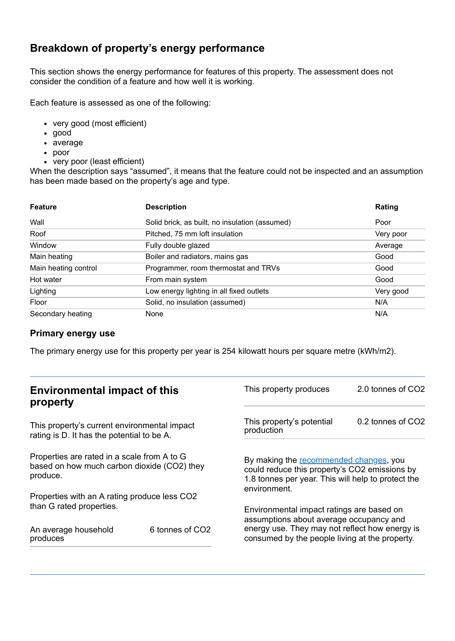# **Breakdown of property's energy performance**

This section shows the energy performance for features of this property. The assessment does not consider the condition of a feature and how well it is working.

Each feature is assessed as one of the following:

- very good (most efficient)
- good
- average
- poor
- very poor (least efficient)

When the description says "assumed", it means that the feature could not be inspected and an assumption has been made based on the property's age and type.

| <b>Feature</b>       | <b>Description</b>                             | Rating    |
|----------------------|------------------------------------------------|-----------|
| Wall                 | Solid brick, as built, no insulation (assumed) | Poor      |
| Roof                 | Pitched, 75 mm loft insulation                 | Very poor |
| Window               | Fully double glazed                            | Average   |
| Main heating         | Boiler and radiators, mains gas                | Good      |
| Main heating control | Programmer, room thermostat and TRVs           | Good      |
| Hot water            | From main system                               | Good      |
| Lighting             | Low energy lighting in all fixed outlets       | Very good |
| Floor                | Solid, no insulation (assumed)                 | N/A       |
| Secondary heating    | None                                           | N/A       |

#### **Primary energy use**

The primary energy use for this property per year is 254 kilowatt hours per square metre (kWh/m2).

| <b>Environmental impact of this</b><br>property                                                        |                 | This property produces                                                                                                                                                                   | 2.0 tonnes of CO2 |
|--------------------------------------------------------------------------------------------------------|-----------------|------------------------------------------------------------------------------------------------------------------------------------------------------------------------------------------|-------------------|
| This property's current environmental impact<br>rating is D. It has the potential to be A.             |                 | This property's potential<br>production                                                                                                                                                  | 0.2 tonnes of CO2 |
| Properties are rated in a scale from A to G<br>based on how much carbon dioxide (CO2) they<br>produce. |                 | By making the recommended changes, you<br>could reduce this property's CO2 emissions by<br>1.8 tonnes per year. This will help to protect the<br>environment.                            |                   |
| Properties with an A rating produce less CO2                                                           |                 |                                                                                                                                                                                          |                   |
| than G rated properties.<br>An average household<br>produces                                           | 6 tonnes of CO2 | Environmental impact ratings are based on<br>assumptions about average occupancy and<br>energy use. They may not reflect how energy is<br>consumed by the people living at the property. |                   |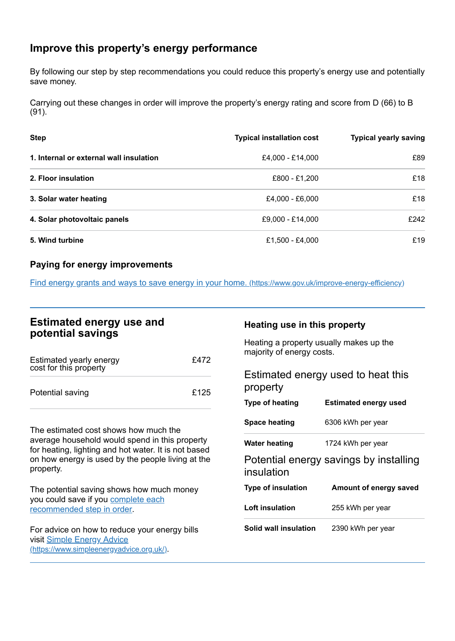## <span id="page-2-0"></span>**Improve this property's energy performance**

By following our step by step recommendations you could reduce this property's energy use and potentially save money.

Carrying out these changes in order will improve the property's energy rating and score from D (66) to B (91).

| <b>Step</b>                             | <b>Typical installation cost</b> | <b>Typical yearly saving</b> |
|-----------------------------------------|----------------------------------|------------------------------|
| 1. Internal or external wall insulation | £4,000 - £14,000                 | £89                          |
| 2. Floor insulation                     | £800 - £1,200                    | £18                          |
| 3. Solar water heating                  | £4,000 - £6,000                  | £18                          |
| 4. Solar photovoltaic panels            | £9,000 - £14,000                 | £242                         |
| 5. Wind turbine                         | £1,500 - £4,000                  | £19                          |

#### **Paying for energy improvements**

Find energy grants and ways to save energy in your home. [\(https://www.gov.uk/improve-energy-efficiency\)](https://www.gov.uk/improve-energy-efficiency)

## **Estimated energy use and potential savings**

| Estimated yearly energy<br>cost for this property | £472 |
|---------------------------------------------------|------|
| Potential saving                                  | £125 |

The estimated cost shows how much the average household would spend in this property for heating, lighting and hot water. It is not based on how energy is used by the people living at the property.

The potential saving shows how much money you could save if you complete each [recommended](#page-2-0) step in order.

For advice on how to reduce your energy bills visit Simple Energy Advice [\(https://www.simpleenergyadvice.org.uk/\)](https://www.simpleenergyadvice.org.uk/).

### **Heating use in this property**

Heating a property usually makes up the majority of energy costs.

Estimated energy used to heat this property **Type of heating Estimated energy used**

| <b>IYOU UI HUUUHIY</b> | Loundrou chorgy abou |
|------------------------|----------------------|
| <b>Space heating</b>   | 6306 kWh per year    |
| <b>Water heating</b>   | 1724 kWh per year    |

Potential energy savings by installing insulation

| Type of insulation    | Amount of energy saved |  |
|-----------------------|------------------------|--|
| Loft insulation       | 255 kWh per year       |  |
| Solid wall insulation | 2390 kWh per year      |  |